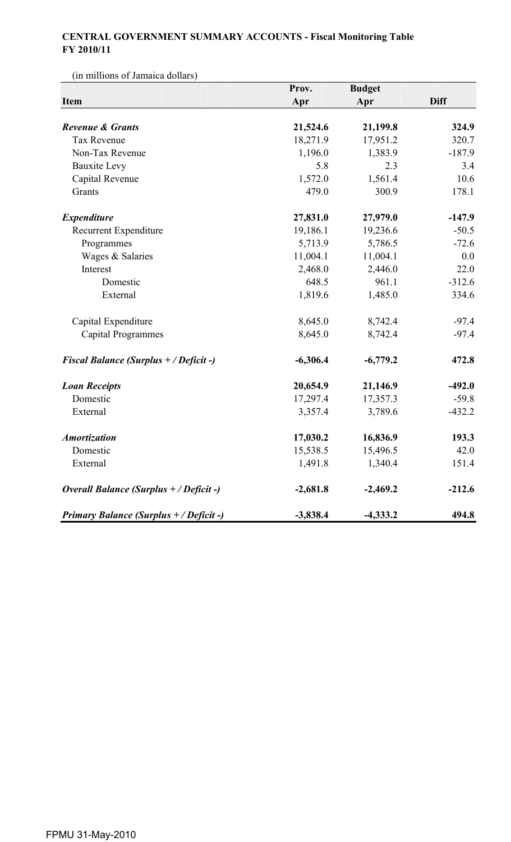## **CENTRAL GOVERNMENT SUMMARY ACCOUNTS - Fiscal Monitoring Table FY 2010/11**

(in millions of Jamaica dollars)

|                                                | Prov.      | <b>Budget</b> |             |
|------------------------------------------------|------------|---------------|-------------|
| <b>Item</b>                                    | Apr        | Apr           | <b>Diff</b> |
| <b>Revenue &amp; Grants</b>                    | 21,524.6   | 21,199.8      | 324.9       |
| <b>Tax Revenue</b>                             | 18,271.9   | 17,951.2      | 320.7       |
| Non-Tax Revenue                                | 1,196.0    | 1,383.9       | $-187.9$    |
| <b>Bauxite Levy</b>                            | 5.8        | 2.3           | 3.4         |
| Capital Revenue                                | 1,572.0    | 1,561.4       | 10.6        |
| Grants                                         | 479.0      | 300.9         | 178.1       |
| <b>Expenditure</b>                             | 27,831.0   | 27,979.0      | $-147.9$    |
| Recurrent Expenditure                          | 19,186.1   | 19,236.6      | $-50.5$     |
| Programmes                                     | 5,713.9    | 5,786.5       | $-72.6$     |
| Wages & Salaries                               | 11,004.1   | 11,004.1      | 0.0         |
| Interest                                       | 2,468.0    | 2,446.0       | 22.0        |
| Domestic                                       | 648.5      | 961.1         | $-312.6$    |
| External                                       | 1,819.6    | 1,485.0       | 334.6       |
| Capital Expenditure                            | 8,645.0    | 8,742.4       | $-97.4$     |
| <b>Capital Programmes</b>                      | 8,645.0    | 8,742.4       | $-97.4$     |
| <b>Fiscal Balance (Surplus + / Deficit -)</b>  | $-6,306.4$ | $-6,779.2$    | 472.8       |
| <b>Loan Receipts</b>                           | 20,654.9   | 21,146.9      | $-492.0$    |
| Domestic                                       | 17,297.4   | 17,357.3      | $-59.8$     |
| External                                       | 3,357.4    | 3,789.6       | $-432.2$    |
| <b>Amortization</b>                            | 17,030.2   | 16,836.9      | 193.3       |
| Domestic                                       | 15,538.5   | 15,496.5      | 42.0        |
| External                                       | 1,491.8    | 1,340.4       | 151.4       |
| Overall Balance (Surplus + / Deficit -)        | $-2,681.8$ | $-2,469.2$    | $-212.6$    |
| <b>Primary Balance (Surplus + / Deficit -)</b> | $-3,838.4$ | $-4,333.2$    | 494.8       |